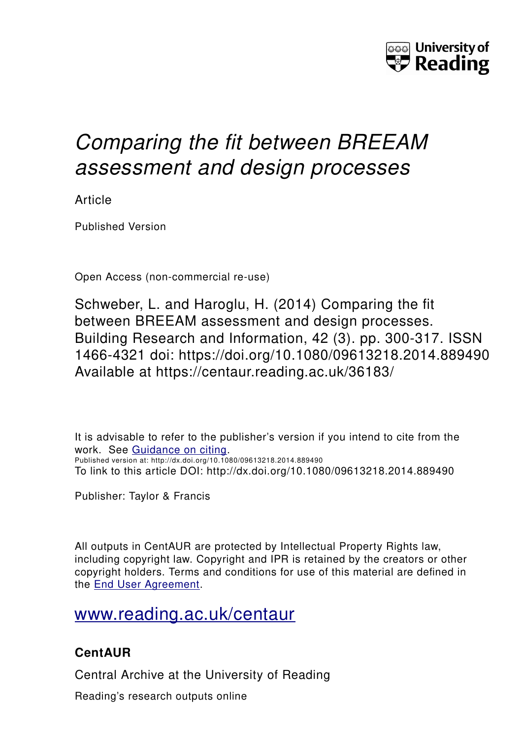

# *Comparing the fit between BREEAM assessment and design processes*

Article

Published Version

Open Access (non-commercial re-use)

Schweber, L. and Haroglu, H. (2014) Comparing the fit between BREEAM assessment and design processes. Building Research and Information, 42 (3). pp. 300-317. ISSN 1466-4321 doi: https://doi.org/10.1080/09613218.2014.889490 Available at https://centaur.reading.ac.uk/36183/

It is advisable to refer to the publisher's version if you intend to cite from the work. See [Guidance on citing.](http://centaur.reading.ac.uk/71187/10/CentAUR%20citing%20guide.pdf) Published version at: http://dx.doi.org/10.1080/09613218.2014.889490 To link to this article DOI: http://dx.doi.org/10.1080/09613218.2014.889490

Publisher: Taylor & Francis

All outputs in CentAUR are protected by Intellectual Property Rights law, including copyright law. Copyright and IPR is retained by the creators or other copyright holders. Terms and conditions for use of this material are defined in the [End User Agreement.](http://centaur.reading.ac.uk/licence)

[www.reading.ac.uk/centaur](http://www.reading.ac.uk/centaur)

### **CentAUR**

Central Archive at the University of Reading

Reading's research outputs online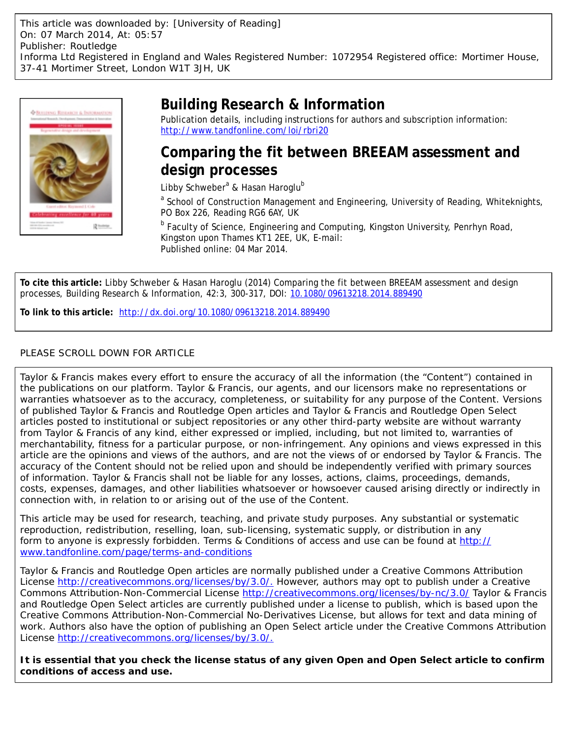

## **Building Research & Information**

Publication details, including instructions for authors and subscription information: <http://www.tandfonline.com/loi/rbri20>

## **Comparing the fit between BREEAM assessment and design processes**

Libby Schweber<sup>a</sup> & Hasan Haroglu<sup>b</sup>

<sup>a</sup> School of Construction Management and Engineering, University of Reading, Whiteknights, PO Box 226, Reading RG6 6AY, UK

**b Faculty of Science, Engineering and Computing, Kingston University, Penrhyn Road,** Kingston upon Thames KT1 2EE, UK, E-mail: Published online: 04 Mar 2014.

**To cite this article:** Libby Schweber & Hasan Haroglu (2014) Comparing the fit between BREEAM assessment and design processes, Building Research & Information, 42:3, 300-317, DOI: [10.1080/09613218.2014.889490](http://www.tandfonline.com/action/showCitFormats?doi=10.1080/09613218.2014.889490)

**To link to this article:** <http://dx.doi.org/10.1080/09613218.2014.889490>

### PLEASE SCROLL DOWN FOR ARTICLE

Taylor & Francis makes every effort to ensure the accuracy of all the information (the "Content") contained in the publications on our platform. Taylor & Francis, our agents, and our licensors make no representations or warranties whatsoever as to the accuracy, completeness, or suitability for any purpose of the Content. Versions of published Taylor & Francis and Routledge Open articles and Taylor & Francis and Routledge Open Select articles posted to institutional or subject repositories or any other third-party website are without warranty from Taylor & Francis of any kind, either expressed or implied, including, but not limited to, warranties of merchantability, fitness for a particular purpose, or non-infringement. Any opinions and views expressed in this article are the opinions and views of the authors, and are not the views of or endorsed by Taylor & Francis. The accuracy of the Content should not be relied upon and should be independently verified with primary sources of information. Taylor & Francis shall not be liable for any losses, actions, claims, proceedings, demands, costs, expenses, damages, and other liabilities whatsoever or howsoever caused arising directly or indirectly in connection with, in relation to or arising out of the use of the Content.

This article may be used for research, teaching, and private study purposes. Any substantial or systematic reproduction, redistribution, reselling, loan, sub-licensing, systematic supply, or distribution in any form to anyone is expressly forbidden. Terms & Conditions of access and use can be found at [http://](http://www.tandfonline.com/page/terms-and-conditions) [www.tandfonline.com/page/terms-and-conditions](http://www.tandfonline.com/page/terms-and-conditions)

Taylor & Francis and Routledge Open articles are normally published under a Creative Commons Attribution License<http://creativecommons.org/licenses/by/3.0/.>However, authors may opt to publish under a Creative Commons Attribution-Non-Commercial License <http://creativecommons.org/licenses/by-nc/3.0/>Taylor & Francis and Routledge Open Select articles are currently published under a license to publish, which is based upon the Creative Commons Attribution-Non-Commercial No-Derivatives License, but allows for text and data mining of work. Authors also have the option of publishing an Open Select article under the Creative Commons Attribution License<http://creativecommons.org/licenses/by/3.0/.>

**It is essential that you check the license status of any given Open and Open Select article to confirm conditions of access and use.**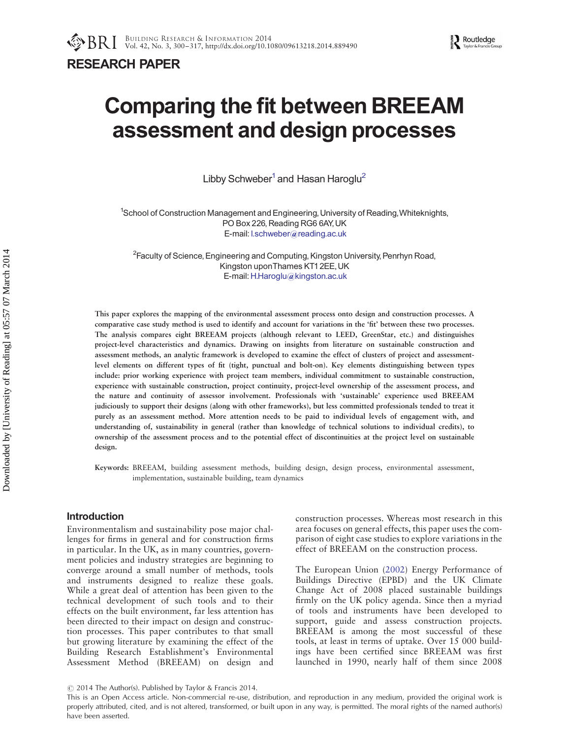RESEARCH PAPER

# Comparing the fit between BREEAM assessment and design processes

Libby Schweber<sup>1</sup> and Hasan Haroglu<sup>2</sup>

<sup>1</sup>School of Construction Management and Engineering, University of Reading, Whiteknights, PO Box 226, Reading RG6 6AY, UK E-mail: [l.schweber@reading.ac.uk](http://www.breeam.org/)

 ${}^{2}$ Faculty of Science, Engineering and Computing, Kingston University, Penrhyn Road, Kingston uponThames KT1 2EE,UK E-mail: [H.Haroglu@kingston.ac.uk](http://www.breeam.org/page.jsp?id=559)

This paper explores the mapping of the environmental assessment process onto design and construction processes. A comparative case study method is used to identify and account for variations in the 'fit' between these two processes. The analysis compares eight BREEAM projects (although relevant to LEED, GreenStar, etc.) and distinguishes project-level characteristics and dynamics. Drawing on insights from literature on sustainable construction and assessment methods, an analytic framework is developed to examine the effect of clusters of project and assessmentlevel elements on different types of fit (tight, punctual and bolt-on). Key elements distinguishing between types include: prior working experience with project team members, individual commitment to sustainable construction, experience with sustainable construction, project continuity, project-level ownership of the assessment process, and the nature and continuity of assessor involvement. Professionals with 'sustainable' experience used BREEAM judiciously to support their designs (along with other frameworks), but less committed professionals tended to treat it purely as an assessment method. More attention needs to be paid to individual levels of engagement with, and understanding of, sustainability in general (rather than knowledge of technical solutions to individual credits), to ownership of the assessment process and to the potential effect of discontinuities at the project level on sustainable design.

Keywords: BREEAM, building assessment methods, building design, design process, environmental assessment, implementation, sustainable building, team dynamics

#### Introduction

Environmentalism and sustainability pose major challenges for firms in general and for construction firms in particular. In the UK, as in many countries, government policies and industry strategies are beginning to converge around a small number of methods, tools and instruments designed to realize these goals. While a great deal of attention has been given to the technical development of such tools and to their effects on the built environment, far less attention has been directed to their impact on design and construction processes. This paper contributes to that small but growing literature by examining the effect of the Building Research Establishment's Environmental Assessment Method (BREEAM) on design and construction processes. Whereas most research in this area focuses on general effects, this paper uses the comparison of eight case studies to explore variations in the effect of BREEAM on the construction process.

The European Union [\(2002](#page-18-0)) Energy Performance of Buildings Directive (EPBD) and the UK Climate Change Act of 2008 placed sustainable buildings firmly on the UK policy agenda. Since then a myriad of tools and instruments have been developed to support, guide and assess construction projects. BREEAM is among the most successful of these tools, at least in terms of uptake. Over 15 000 buildings have been certified since BREEAM was first launched in 1990, nearly half of them since 2008

 $\odot$  2014 The Author(s). Published by Taylor & Francis 2014.

This is an Open Access article. Non-commercial re-use, distribution, and reproduction in any medium, provided the original work is properly attributed, cited, and is not altered, transformed, or built upon in any way, is permitted. The moral rights of the named author(s) have been asserted.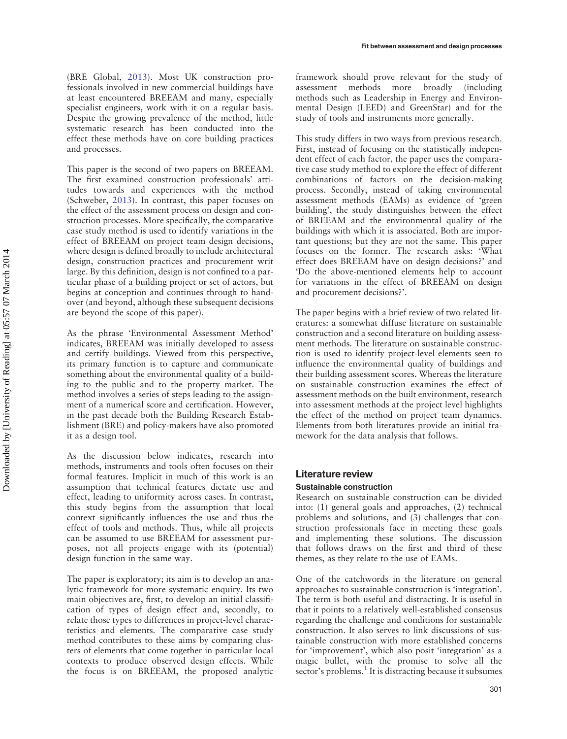(BRE Global, [2013](#page-18-0)). Most UK construction professionals involved in new commercial buildings have at least encountered BREEAM and many, especially specialist engineers, work with it on a regular basis. Despite the growing prevalence of the method, little systematic research has been conducted into the effect these methods have on core building practices and processes.

This paper is the second of two papers on BREEAM. The first examined construction professionals' attitudes towards and experiences with the method (Schweber, [2013\)](#page-19-0). In contrast, this paper focuses on the effect of the assessment process on design and construction processes. More specifically, the comparative case study method is used to identify variations in the effect of BREEAM on project team design decisions, where design is defined broadly to include architectural design, construction practices and procurement writ large. By this definition, design is not confined to a particular phase of a building project or set of actors, but begins at conception and continues through to handover (and beyond, although these subsequent decisions are beyond the scope of this paper).

As the phrase 'Environmental Assessment Method' indicates, BREEAM was initially developed to assess and certify buildings. Viewed from this perspective, its primary function is to capture and communicate something about the environmental quality of a building to the public and to the property market. The method involves a series of steps leading to the assignment of a numerical score and certification. However, in the past decade both the Building Research Establishment (BRE) and policy-makers have also promoted it as a design tool.

As the discussion below indicates, research into methods, instruments and tools often focuses on their formal features. Implicit in much of this work is an assumption that technical features dictate use and effect, leading to uniformity across cases. In contrast, this study begins from the assumption that local context significantly influences the use and thus the effect of tools and methods. Thus, while all projects can be assumed to use BREEAM for assessment purposes, not all projects engage with its (potential) design function in the same way.

The paper is exploratory; its aim is to develop an analytic framework for more systematic enquiry. Its two main objectives are, first, to develop an initial classification of types of design effect and, secondly, to relate those types to differences in project-level characteristics and elements. The comparative case study method contributes to these aims by comparing clusters of elements that come together in particular local contexts to produce observed design effects. While the focus is on BREEAM, the proposed analytic framework should prove relevant for the study of assessment methods more broadly (including methods such as Leadership in Energy and Environmental Design (LEED) and GreenStar) and for the study of tools and instruments more generally.

This study differs in two ways from previous research. First, instead of focusing on the statistically independent effect of each factor, the paper uses the comparative case study method to explore the effect of different combinations of factors on the decision-making process. Secondly, instead of taking environmental assessment methods (EAMs) as evidence of 'green building', the study distinguishes between the effect of BREEAM and the environmental quality of the buildings with which it is associated. Both are important questions; but they are not the same. This paper focuses on the former. The research asks: 'What effect does BREEAM have on design decisions?' and 'Do the above-mentioned elements help to account for variations in the effect of BREEAM on design and procurement decisions?'.

The paper begins with a brief review of two related literatures: a somewhat diffuse literature on sustainable construction and a second literature on building assessment methods. The literature on sustainable construction is used to identify project-level elements seen to influence the environmental quality of buildings and their building assessment scores. Whereas the literature on sustainable construction examines the effect of assessment methods on the built environment, research into assessment methods at the project level highlights the effect of the method on project team dynamics. Elements from both literatures provide an initial framework for the data analysis that follows.

#### Literature review

#### Sustainable construction

Research on sustainable construction can be divided into: (1) general goals and approaches, (2) technical problems and solutions, and (3) challenges that construction professionals face in meeting these goals and implementing these solutions. The discussion that follows draws on the first and third of these themes, as they relate to the use of EAMs.

One of the catchwords in the literature on general approaches to sustainable construction is 'integration'. The term is both useful and distracting. It is useful in that it points to a relatively well-established consensus regarding the challenge and conditions for sustainable construction. It also serves to link discussions of sustainable construction with more established concerns for 'improvement', which also posit 'integration' as a magic bullet, with the promise to solve all the sector's problems.<sup>[1](#page-19-0)</sup> It is distracting because it subsumes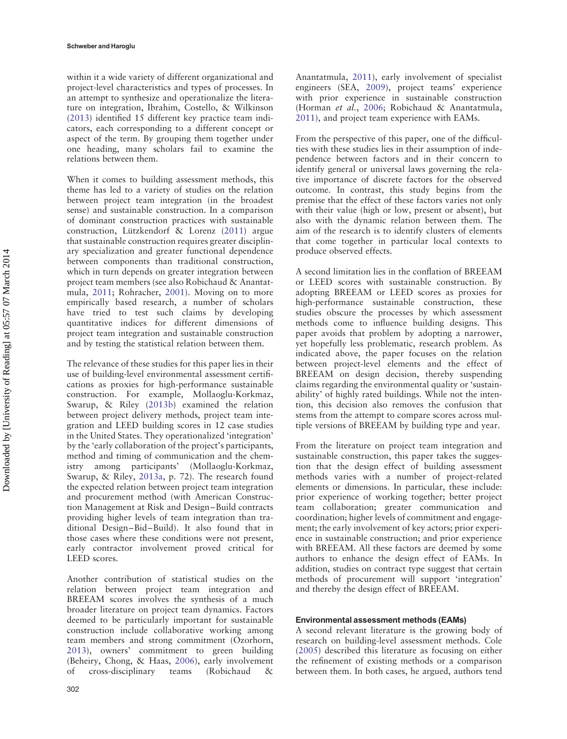within it a wide variety of different organizational and project-level characteristics and types of processes. In an attempt to synthesize and operationalize the literature on integration, Ibrahim, Costello, & Wilkinson [\(2013](#page-19-0)) identified 15 different key practice team indicators, each corresponding to a different concept or aspect of the term. By grouping them together under one heading, many scholars fail to examine the relations between them.

When it comes to building assessment methods, this theme has led to a variety of studies on the relation between project team integration (in the broadest sense) and sustainable construction. In a comparison of dominant construction practices with sustainable construction, Lützkendorf & Lorenz [\(2011](#page-19-0)) argue that sustainable construction requires greater disciplinary specialization and greater functional dependence between components than traditional construction, which in turn depends on greater integration between project team members (see also Robichaud & Anantatmula, [2011](#page-19-0); Rohracher, [2001\)](#page-19-0). Moving on to more empirically based research, a number of scholars have tried to test such claims by developing quantitative indices for different dimensions of project team integration and sustainable construction and by testing the statistical relation between them.

The relevance of these studies for this paper lies in their use of building-level environmental assessment certifications as proxies for high-performance sustainable construction. For example, Mollaoglu-Korkmaz, Swarup, & Riley ([2013b](#page-19-0)) examined the relation between project delivery methods, project team integration and LEED building scores in 12 case studies in the United States. They operationalized 'integration' by the 'early collaboration of the project's participants, method and timing of communication and the chemistry among participants' (Mollaoglu-Korkmaz, Swarup, & Riley, [2013a](#page-19-0), p. 72). The research found the expected relation between project team integration and procurement method (with American Construction Management at Risk and Design-Build contracts providing higher levels of team integration than traditional Design-Bid-Build). It also found that in those cases where these conditions were not present, early contractor involvement proved critical for LEED scores.

Another contribution of statistical studies on the relation between project team integration and BREEAM scores involves the synthesis of a much broader literature on project team dynamics. Factors deemed to be particularly important for sustainable construction include collaborative working among team members and strong commitment (Ozorhorn, [2013\)](#page-19-0), owners' commitment to green building (Beheiry, Chong, & Haas, [2006](#page-18-0)), early involvement<br>of cross-disciplinary teams (Robichaud & of cross-disciplinary teams (Robichaud &

Anantatmula, [2011\)](#page-19-0), early involvement of specialist engineers (SEA, [2009](#page-19-0)), project teams' experience with prior experience in sustainable construction (Horman et al., [2006;](#page-19-0) Robichaud & Anantatmula, [2011\)](#page-19-0), and project team experience with EAMs.

From the perspective of this paper, one of the difficulties with these studies lies in their assumption of independence between factors and in their concern to identify general or universal laws governing the relative importance of discrete factors for the observed outcome. In contrast, this study begins from the premise that the effect of these factors varies not only with their value (high or low, present or absent), but also with the dynamic relation between them. The aim of the research is to identify clusters of elements that come together in particular local contexts to produce observed effects.

A second limitation lies in the conflation of BREEAM or LEED scores with sustainable construction. By adopting BREEAM or LEED scores as proxies for high-performance sustainable construction, these studies obscure the processes by which assessment methods come to influence building designs. This paper avoids that problem by adopting a narrower, yet hopefully less problematic, research problem. As indicated above, the paper focuses on the relation between project-level elements and the effect of BREEAM on design decision, thereby suspending claims regarding the environmental quality or 'sustainability' of highly rated buildings. While not the intention, this decision also removes the confusion that stems from the attempt to compare scores across multiple versions of BREEAM by building type and year.

From the literature on project team integration and sustainable construction, this paper takes the suggestion that the design effect of building assessment methods varies with a number of project-related elements or dimensions. In particular, these include: prior experience of working together; better project team collaboration; greater communication and coordination; higher levels of commitment and engagement; the early involvement of key actors; prior experience in sustainable construction; and prior experience with BREEAM. All these factors are deemed by some authors to enhance the design effect of EAMs. In addition, studies on contract type suggest that certain methods of procurement will support 'integration' and thereby the design effect of BREEAM.

#### Environmental assessment methods (EAMs)

A second relevant literature is the growing body of research on building-level assessment methods. Cole ([2005](#page-18-0)) described this literature as focusing on either the refinement of existing methods or a comparison between them. In both cases, he argued, authors tend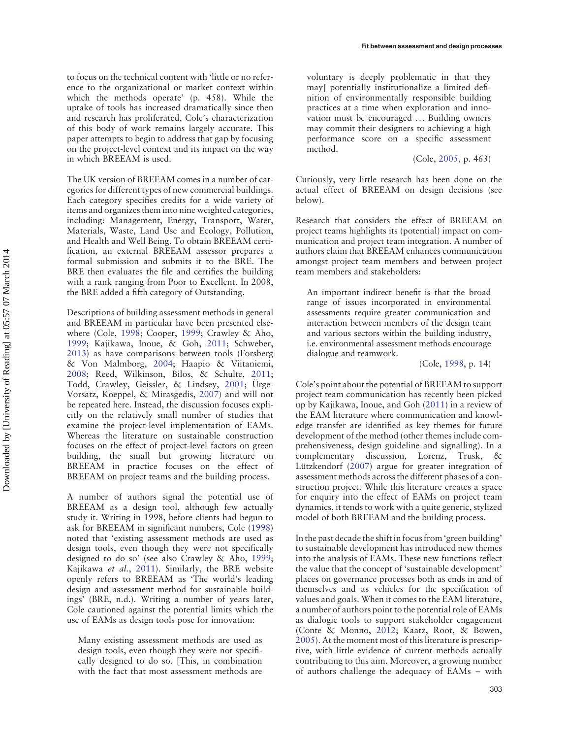to focus on the technical content with 'little or no reference to the organizational or market context within which the methods operate' (p. 458). While the uptake of tools has increased dramatically since then and research has proliferated, Cole's characterization of this body of work remains largely accurate. This paper attempts to begin to address that gap by focusing on the project-level context and its impact on the way in which BREEAM is used.

The UK version of BREEAM comes in a number of categories for different types of new commercial buildings. Each category specifies credits for a wide variety of items and organizes them into nine weighted categories, including: Management, Energy, Transport, Water, Materials, Waste, Land Use and Ecology, Pollution, and Health and Well Being. To obtain BREEAM certification, an external BREEAM assessor prepares a formal submission and submits it to the BRE. The BRE then evaluates the file and certifies the building with a rank ranging from Poor to Excellent. In 2008, the BRE added a fifth category of Outstanding.

Descriptions of building assessment methods in general and BREEAM in particular have been presented elsewhere (Cole, [1998;](#page-18-0) Cooper, [1999;](#page-18-0) Crawley & Aho, [1999;](#page-18-0) Kajikawa, Inoue, & Goh, [2011](#page-19-0); Schweber, [2013\)](#page-19-0) as have comparisons between tools (Forsberg & Von Malmborg, [2004;](#page-18-0) Haapio & Viitaniemi, [2008;](#page-18-0) Reed, Wilkinson, Bilos, & Schulte, [2011](#page-19-0); Todd, Crawley, Geissler, & Lindsey, [2001;](#page-19-0) Ürge-Vorsatz, Koeppel, & Mirasgedis, [2007](#page-19-0)) and will not be repeated here. Instead, the discussion focuses explicitly on the relatively small number of studies that examine the project-level implementation of EAMs. Whereas the literature on sustainable construction focuses on the effect of project-level factors on green building, the small but growing literature on BREEAM in practice focuses on the effect of BREEAM on project teams and the building process.

A number of authors signal the potential use of BREEAM as a design tool, although few actually study it. Writing in 1998, before clients had begun to ask for BREEAM in significant numbers, Cole ([1998\)](#page-18-0) noted that 'existing assessment methods are used as design tools, even though they were not specifically designed to do so' (see also Crawley & Aho, [1999](#page-18-0); Kajikawa et al., [2011](#page-19-0)). Similarly, the BRE website openly refers to BREEAM as 'The world's leading design and assessment method for sustainable buildings' (BRE, n.d.). Writing a number of years later, Cole cautioned against the potential limits which the use of EAMs as design tools pose for innovation:

Many existing assessment methods are used as design tools, even though they were not specifically designed to do so. [This, in combination with the fact that most assessment methods are

voluntary is deeply problematic in that they may] potentially institutionalize a limited definition of environmentally responsible building practices at a time when exploration and innovation must be encouraged ... Building owners may commit their designers to achieving a high performance score on a specific assessment method.

(Cole, [2005,](#page-18-0) p. 463)

Curiously, very little research has been done on the actual effect of BREEAM on design decisions (see below).

Research that considers the effect of BREEAM on project teams highlights its (potential) impact on communication and project team integration. A number of authors claim that BREEAM enhances communication amongst project team members and between project team members and stakeholders:

An important indirect benefit is that the broad range of issues incorporated in environmental assessments require greater communication and interaction between members of the design team and various sectors within the building industry, i.e. environmental assessment methods encourage dialogue and teamwork.

(Cole, [1998](#page-18-0), p. 14)

Cole's point about the potential of BREEAM to support project team communication has recently been picked up by Kajikawa, Inoue, and Goh [\(2011](#page-19-0)) in a review of the EAM literature where communication and knowledge transfer are identified as key themes for future development of the method (other themes include comprehensiveness, design guideline and signalling). In a complementary discussion, Lorenz, Trusk, & Lützkendorf [\(2007](#page-19-0)) argue for greater integration of assessment methods across the different phases of a construction project. While this literature creates a space for enquiry into the effect of EAMs on project team dynamics, it tends to work with a quite generic, stylized model of both BREEAM and the building process.

In the past decade the shift in focus from 'green building' to sustainable development has introduced new themes into the analysis of EAMs. These new functions reflect the value that the concept of 'sustainable development' places on governance processes both as ends in and of themselves and as vehicles for the specification of values and goals. When it comes to the EAM literature, a number of authors point to the potential role of EAMs as dialogic tools to support stakeholder engagement (Conte & Monno, [2012;](#page-18-0) Kaatz, Root, & Bowen, [2005\)](#page-19-0). At the moment most of this literature is prescriptive, with little evidence of current methods actually contributing to this aim. Moreover, a growing number of authors challenge the adequacy of EAMs – with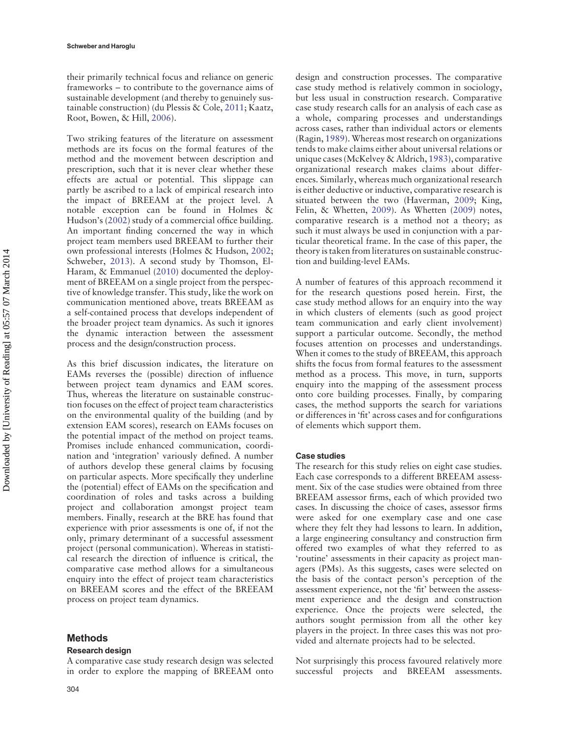their primarily technical focus and reliance on generic frameworks – to contribute to the governance aims of sustainable development (and thereby to genuinely sustainable construction) (du Plessis & Cole, [2011;](#page-18-0) Kaatz, Root, Bowen, & Hill, [2006\)](#page-19-0).

Two striking features of the literature on assessment methods are its focus on the formal features of the method and the movement between description and prescription, such that it is never clear whether these effects are actual or potential. This slippage can partly be ascribed to a lack of empirical research into the impact of BREEAM at the project level. A notable exception can be found in Holmes & Hudson's ([2002](#page-19-0)) study of a commercial office building. An important finding concerned the way in which project team members used BREEAM to further their own professional interests (Holmes & Hudson, [2002](#page-19-0); Schweber, [2013](#page-19-0)). A second study by Thomson, El-Haram, & Emmanuel ([2010](#page-19-0)) documented the deployment of BREEAM on a single project from the perspective of knowledge transfer. This study, like the work on communication mentioned above, treats BREEAM as a self-contained process that develops independent of the broader project team dynamics. As such it ignores the dynamic interaction between the assessment process and the design/construction process.

As this brief discussion indicates, the literature on EAMs reverses the (possible) direction of influence between project team dynamics and EAM scores. Thus, whereas the literature on sustainable construction focuses on the effect of project team characteristics on the environmental quality of the building (and by extension EAM scores), research on EAMs focuses on the potential impact of the method on project teams. Promises include enhanced communication, coordination and 'integration' variously defined. A number of authors develop these general claims by focusing on particular aspects. More specifically they underline the (potential) effect of EAMs on the specification and coordination of roles and tasks across a building project and collaboration amongst project team members. Finally, research at the BRE has found that experience with prior assessments is one of, if not the only, primary determinant of a successful assessment project (personal communication). Whereas in statistical research the direction of influence is critical, the comparative case method allows for a simultaneous enquiry into the effect of project team characteristics on BREEAM scores and the effect of the BREEAM process on project team dynamics.

#### Methods

#### Research design

A comparative case study research design was selected in order to explore the mapping of BREEAM onto design and construction processes. The comparative case study method is relatively common in sociology, but less usual in construction research. Comparative case study research calls for an analysis of each case as a whole, comparing processes and understandings across cases, rather than individual actors or elements (Ragin, [1989\)](#page-19-0). Whereas most research on organizations tends to make claims either about universal relations or unique cases (McKelvey & Aldrich, [1983\)](#page-19-0), comparative organizational research makes claims about differences. Similarly, whereas much organizational research is either deductive or inductive, comparative research is situated between the two (Haverman, [2009;](#page-18-0) King, Felin, & Whetten, [2009\)](#page-19-0). As Whetten [\(2009](#page-19-0)) notes, comparative research is a method not a theory; as such it must always be used in conjunction with a particular theoretical frame. In the case of this paper, the theory is taken from literatures on sustainable construction and building-level EAMs.

A number of features of this approach recommend it for the research questions posed herein. First, the case study method allows for an enquiry into the way in which clusters of elements (such as good project team communication and early client involvement) support a particular outcome. Secondly, the method focuses attention on processes and understandings. When it comes to the study of BREEAM, this approach shifts the focus from formal features to the assessment method as a process. This move, in turn, supports enquiry into the mapping of the assessment process onto core building processes. Finally, by comparing cases, the method supports the search for variations or differences in 'fit' across cases and for configurations of elements which support them.

#### Case studies

The research for this study relies on eight case studies. Each case corresponds to a different BREEAM assessment. Six of the case studies were obtained from three BREEAM assessor firms, each of which provided two cases. In discussing the choice of cases, assessor firms were asked for one exemplary case and one case where they felt they had lessons to learn. In addition, a large engineering consultancy and construction firm offered two examples of what they referred to as 'routine' assessments in their capacity as project managers (PMs). As this suggests, cases were selected on the basis of the contact person's perception of the assessment experience, not the 'fit' between the assessment experience and the design and construction experience. Once the projects were selected, the authors sought permission from all the other key players in the project. In three cases this was not provided and alternate projects had to be selected.

Not surprisingly this process favoured relatively more successful projects and BREEAM assessments.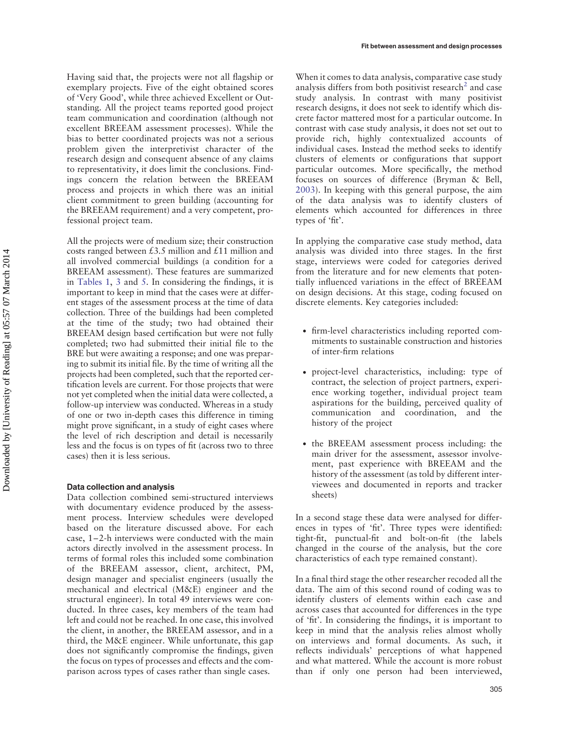Having said that, the projects were not all flagship or exemplary projects. Five of the eight obtained scores of 'Very Good', while three achieved Excellent or Outstanding. All the project teams reported good project team communication and coordination (although not excellent BREEAM assessment processes). While the bias to better coordinated projects was not a serious problem given the interpretivist character of the research design and consequent absence of any claims to representativity, it does limit the conclusions. Findings concern the relation between the BREEAM process and projects in which there was an initial client commitment to green building (accounting for the BREEAM requirement) and a very competent, professional project team.

All the projects were of medium size; their construction costs ranged between £3.5 million and £11 million and all involved commercial buildings (a condition for a BREEAM assessment). These features are summarized in [Tables 1](#page-9-0), [3](#page-11-0) and [5](#page-14-0). In considering the findings, it is important to keep in mind that the cases were at different stages of the assessment process at the time of data collection. Three of the buildings had been completed at the time of the study; two had obtained their BREEAM design based certification but were not fully completed; two had submitted their initial file to the BRE but were awaiting a response; and one was preparing to submit its initial file. By the time of writing all the projects had been completed, such that the reported certification levels are current. For those projects that were not yet completed when the initial data were collected, a follow-up interview was conducted. Whereas in a study of one or two in-depth cases this difference in timing might prove significant, in a study of eight cases where the level of rich description and detail is necessarily less and the focus is on types of fit (across two to three cases) then it is less serious.

#### Data collection and analysis

Data collection combined semi-structured interviews with documentary evidence produced by the assessment process. Interview schedules were developed based on the literature discussed above. For each case, 1–2-h interviews were conducted with the main actors directly involved in the assessment process. In terms of formal roles this included some combination of the BREEAM assessor, client, architect, PM, design manager and specialist engineers (usually the mechanical and electrical (M&E) engineer and the structural engineer). In total 49 interviews were conducted. In three cases, key members of the team had left and could not be reached. In one case, this involved the client, in another, the BREEAM assessor, and in a third, the M&E engineer. While unfortunate, this gap does not significantly compromise the findings, given the focus on types of processes and effects and the comparison across types of cases rather than single cases.

When it comes to data analysis, comparative case study analysis differs from both positivist research<sup>[2](#page-19-0)</sup> and case study analysis. In contrast with many positivist research designs, it does not seek to identify which discrete factor mattered most for a particular outcome. In contrast with case study analysis, it does not set out to provide rich, highly contextualized accounts of individual cases. Instead the method seeks to identify clusters of elements or configurations that support particular outcomes. More specifically, the method focuses on sources of difference (Bryman & Bell, [2003\)](#page-18-0). In keeping with this general purpose, the aim of the data analysis was to identify clusters of elements which accounted for differences in three types of 'fit'.

In applying the comparative case study method, data analysis was divided into three stages. In the first stage, interviews were coded for categories derived from the literature and for new elements that potentially influenced variations in the effect of BREEAM on design decisions. At this stage, coding focused on discrete elements. Key categories included:

- . firm-level characteristics including reported commitments to sustainable construction and histories of inter-firm relations
- . project-level characteristics, including: type of contract, the selection of project partners, experience working together, individual project team aspirations for the building, perceived quality of communication and coordination, and the history of the project
- . the BREEAM assessment process including: the main driver for the assessment, assessor involvement, past experience with BREEAM and the history of the assessment (as told by different interviewees and documented in reports and tracker sheets)

In a second stage these data were analysed for differences in types of 'fit'. Three types were identified: tight-fit, punctual-fit and bolt-on-fit (the labels changed in the course of the analysis, but the core characteristics of each type remained constant).

In a final third stage the other researcher recoded all the data. The aim of this second round of coding was to identify clusters of elements within each case and across cases that accounted for differences in the type of 'fit'. In considering the findings, it is important to keep in mind that the analysis relies almost wholly on interviews and formal documents. As such, it reflects individuals' perceptions of what happened and what mattered. While the account is more robust than if only one person had been interviewed,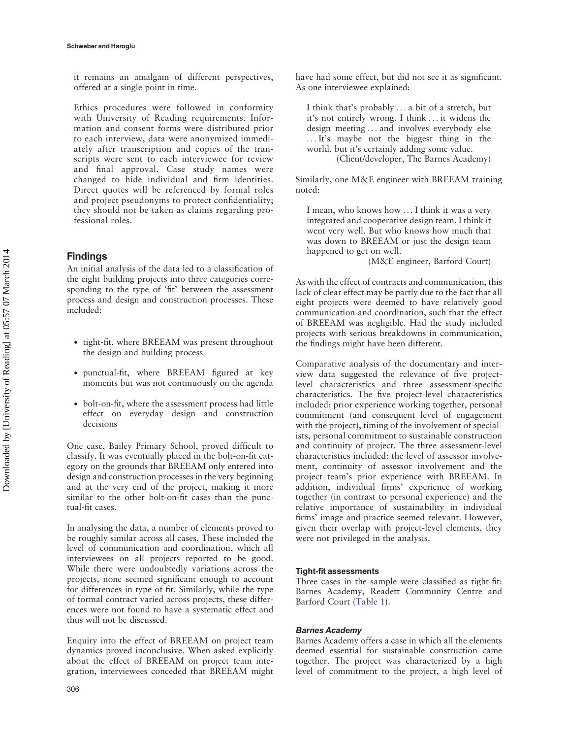it remains an amalgam of different perspectives, offered at a single point in time.

Ethics procedures were followed in conformity with University of Reading requirements. Information and consent forms were distributed prior to each interview, data were anonymized immediately after transcription and copies of the transcripts were sent to each interviewee for review and final approval. Case study names were changed to hide individual and firm identities. Direct quotes will be referenced by formal roles and project pseudonyms to protect confidentiality; they should not be taken as claims regarding professional roles.

#### Findings

An initial analysis of the data led to a classification of the eight building projects into three categories corresponding to the type of 'fit' between the assessment process and design and construction processes. These included:

- . tight-fit, where BREEAM was present throughout the design and building process
- . punctual-fit, where BREEAM figured at key moments but was not continuously on the agenda
- . bolt-on-fit, where the assessment process had little effect on everyday design and construction decisions

One case, Bailey Primary School, proved difficult to classify. It was eventually placed in the bolt-on-fit category on the grounds that BREEAM only entered into design and construction processes in the very beginning and at the very end of the project, making it more similar to the other bolt-on-fit cases than the punctual-fit cases.

In analysing the data, a number of elements proved to be roughly similar across all cases. These included the level of communication and coordination, which all interviewees on all projects reported to be good. While there were undoubtedly variations across the projects, none seemed significant enough to account for differences in type of fit. Similarly, while the type of formal contract varied across projects, these differences were not found to have a systematic effect and thus will not be discussed.

Enquiry into the effect of BREEAM on project team dynamics proved inconclusive. When asked explicitly about the effect of BREEAM on project team integration, interviewees conceded that BREEAM might have had some effect, but did not see it as significant. As one interviewee explained:

I think that's probably ... a bit of a stretch, but it's not entirely wrong. I think ... it widens the design meeting ... and involves everybody else ... It's maybe not the biggest thing in the world, but it's certainly adding some value. (Client/developer, The Barnes Academy)

Similarly, one M&E engineer with BREEAM training noted:

I mean, who knows how ... I think it was a very integrated and cooperative design team. I think it went very well. But who knows how much that was down to BREEAM or just the design team happened to get on well.

(M&E engineer, Barford Court)

As with the effect of contracts and communication, this lack of clear effect may be partly due to the fact that all eight projects were deemed to have relatively good communication and coordination, such that the effect of BREEAM was negligible. Had the study included projects with serious breakdowns in communication, the findings might have been different.

Comparative analysis of the documentary and interview data suggested the relevance of five projectlevel characteristics and three assessment-specific characteristics. The five project-level characteristics included: prior experience working together, personal commitment (and consequent level of engagement with the project), timing of the involvement of specialists, personal commitment to sustainable construction and continuity of project. The three assessment-level characteristics included: the level of assessor involvement, continuity of assessor involvement and the project team's prior experience with BREEAM. In addition, individual firms' experience of working together (in contrast to personal experience) and the relative importance of sustainability in individual firms' image and practice seemed relevant. However, given their overlap with project-level elements, they were not privileged in the analysis.

#### Tight-fit assessments

Three cases in the sample were classified as tight-fit: Barnes Academy, Readett Community Centre and Barford Court ([Table 1\)](#page-9-0).

#### Barnes Academy

Barnes Academy offers a case in which all the elements deemed essential for sustainable construction came together. The project was characterized by a high level of commitment to the project, a high level of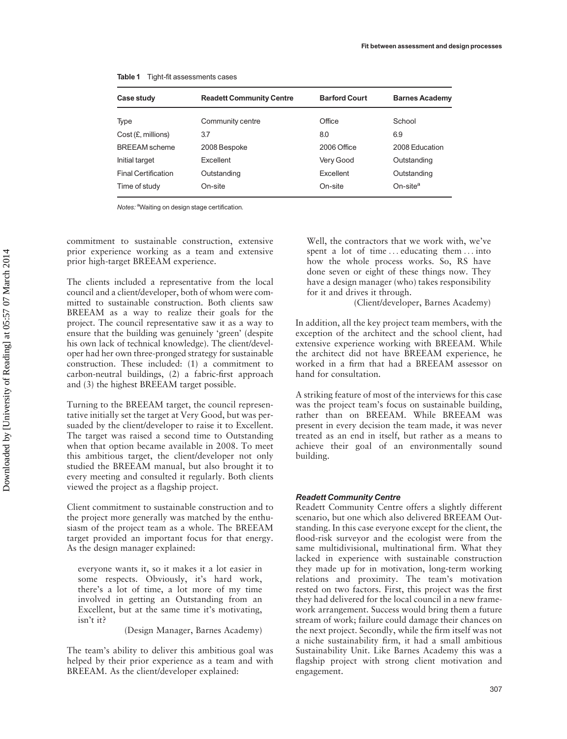| Case study                 | <b>Readett Community Centre</b> | <b>Barford Court</b> | <b>Barnes Academy</b> |
|----------------------------|---------------------------------|----------------------|-----------------------|
| Type                       | Community centre                | Office               | School                |
| Cost (£, millions)         | 3.7                             | 8.0                  | 6.9                   |
| <b>BREEAM</b> scheme       | 2008 Bespoke                    | 2006 Office          | 2008 Education        |
| Initial target             | <b>Excellent</b>                | Very Good            | Outstanding           |
| <b>Final Certification</b> | Outstanding                     | Excellent            | Outstanding           |
| Time of study              | On-site                         | On-site              | On-site <sup>a</sup>  |

<span id="page-9-0"></span>Table 1 Tight-fit assessments cases

Notes: <sup>a</sup>Waiting on design stage certification.

commitment to sustainable construction, extensive prior experience working as a team and extensive prior high-target BREEAM experience.

The clients included a representative from the local council and a client/developer, both of whom were committed to sustainable construction. Both clients saw BREEAM as a way to realize their goals for the project. The council representative saw it as a way to ensure that the building was genuinely 'green' (despite his own lack of technical knowledge). The client/developer had her own three-pronged strategy for sustainable construction. These included: (1) a commitment to carbon-neutral buildings, (2) a fabric-first approach and (3) the highest BREEAM target possible.

Turning to the BREEAM target, the council representative initially set the target at Very Good, but was persuaded by the client/developer to raise it to Excellent. The target was raised a second time to Outstanding when that option became available in 2008. To meet this ambitious target, the client/developer not only studied the BREEAM manual, but also brought it to every meeting and consulted it regularly. Both clients viewed the project as a flagship project.

Client commitment to sustainable construction and to the project more generally was matched by the enthusiasm of the project team as a whole. The BREEAM target provided an important focus for that energy. As the design manager explained:

everyone wants it, so it makes it a lot easier in some respects. Obviously, it's hard work, there's a lot of time, a lot more of my time involved in getting an Outstanding from an Excellent, but at the same time it's motivating, isn't it?

(Design Manager, Barnes Academy)

The team's ability to deliver this ambitious goal was helped by their prior experience as a team and with BREEAM. As the client/developer explained:

Well, the contractors that we work with, we've spent a lot of time ... educating them ... into how the whole process works. So, RS have done seven or eight of these things now. They have a design manager (who) takes responsibility for it and drives it through.

(Client/developer, Barnes Academy)

In addition, all the key project team members, with the exception of the architect and the school client, had extensive experience working with BREEAM. While the architect did not have BREEAM experience, he worked in a firm that had a BREEAM assessor on hand for consultation.

A striking feature of most of the interviews for this case was the project team's focus on sustainable building, rather than on BREEAM. While BREEAM was present in every decision the team made, it was never treated as an end in itself, but rather as a means to achieve their goal of an environmentally sound building.

#### Readett Community Centre

Readett Community Centre offers a slightly different scenario, but one which also delivered BREEAM Outstanding. In this case everyone except for the client, the flood-risk surveyor and the ecologist were from the same multidivisional, multinational firm. What they lacked in experience with sustainable construction they made up for in motivation, long-term working relations and proximity. The team's motivation rested on two factors. First, this project was the first they had delivered for the local council in a new framework arrangement. Success would bring them a future stream of work; failure could damage their chances on the next project. Secondly, while the firm itself was not a niche sustainability firm, it had a small ambitious Sustainability Unit. Like Barnes Academy this was a flagship project with strong client motivation and engagement.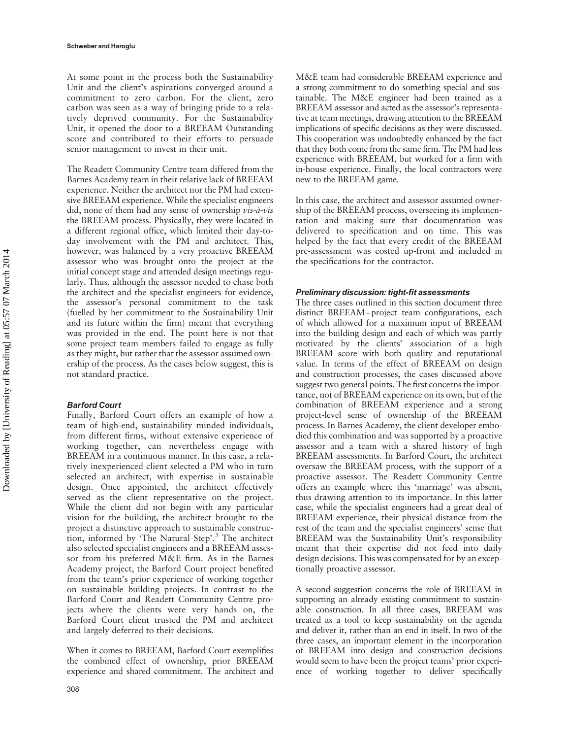At some point in the process both the Sustainability Unit and the client's aspirations converged around a commitment to zero carbon. For the client, zero carbon was seen as a way of bringing pride to a relatively deprived community. For the Sustainability Unit, it opened the door to a BREEAM Outstanding score and contributed to their efforts to persuade senior management to invest in their unit.

The Readett Community Centre team differed from the Barnes Academy team in their relative lack of BREEAM experience. Neither the architect nor the PM had extensive BREEAM experience. While the specialist engineers did, none of them had any sense of ownership  $vis-\hat{a}-vis$ the BREEAM process. Physically, they were located in a different regional office, which limited their day-today involvement with the PM and architect. This, however, was balanced by a very proactive BREEAM assessor who was brought onto the project at the initial concept stage and attended design meetings regularly. Thus, although the assessor needed to chase both the architect and the specialist engineers for evidence, the assessor's personal commitment to the task (fuelled by her commitment to the Sustainability Unit and its future within the firm) meant that everything was provided in the end. The point here is not that some project team members failed to engage as fully as they might, but rather that the assessor assumed ownership of the process. As the cases below suggest, this is not standard practice.

#### Barford Court

Finally, Barford Court offers an example of how a team of high-end, sustainability minded individuals, from different firms, without extensive experience of working together, can nevertheless engage with BREEAM in a continuous manner. In this case, a relatively inexperienced client selected a PM who in turn selected an architect, with expertise in sustainable design. Once appointed, the architect effectively served as the client representative on the project. While the client did not begin with any particular vision for the building, the architect brought to the project a distinctive approach to sustainable construc-tion, informed by 'The Natural Step'.<sup>[3](#page-19-0)</sup> The architect also selected specialist engineers and a BREEAM assessor from his preferred M&E firm. As in the Barnes Academy project, the Barford Court project benefited from the team's prior experience of working together on sustainable building projects. In contrast to the Barford Court and Readett Community Centre projects where the clients were very hands on, the Barford Court client trusted the PM and architect and largely deferred to their decisions.

When it comes to BREEAM, Barford Court exemplifies the combined effect of ownership, prior BREEAM experience and shared commitment. The architect and

M&E team had considerable BREEAM experience and a strong commitment to do something special and sustainable. The M&E engineer had been trained as a BREEAM assessor and acted as the assessor's representative at team meetings, drawing attention to the BREEAM implications of specific decisions as they were discussed. This cooperation was undoubtedly enhanced by the fact that they both come from the same firm. The PM had less experience with BREEAM, but worked for a firm with in-house experience. Finally, the local contractors were new to the BREEAM game.

In this case, the architect and assessor assumed ownership of the BREEAM process, overseeing its implementation and making sure that documentation was delivered to specification and on time. This was helped by the fact that every credit of the BREEAM pre-assessment was costed up-front and included in the specifications for the contractor.

#### Preliminary discussion: tight-fit assessments

The three cases outlined in this section document three distinct BREEAM–project team configurations, each of which allowed for a maximum input of BREEAM into the building design and each of which was partly motivated by the clients' association of a high BREEAM score with both quality and reputational value. In terms of the effect of BREEAM on design and construction processes, the cases discussed above suggest two general points. The first concerns the importance, not of BREEAM experience on its own, but of the combination of BREEAM experience and a strong project-level sense of ownership of the BREEAM process. In Barnes Academy, the client developer embodied this combination and was supported by a proactive assessor and a team with a shared history of high BREEAM assessments. In Barford Court, the architect oversaw the BREEAM process, with the support of a proactive assessor. The Readett Community Centre offers an example where this 'marriage' was absent, thus drawing attention to its importance. In this latter case, while the specialist engineers had a great deal of BREEAM experience, their physical distance from the rest of the team and the specialist engineers' sense that BREEAM was the Sustainability Unit's responsibility meant that their expertise did not feed into daily design decisions. This was compensated for by an exceptionally proactive assessor.

A second suggestion concerns the role of BREEAM in supporting an already existing commitment to sustainable construction. In all three cases, BREEAM was treated as a tool to keep sustainability on the agenda and deliver it, rather than an end in itself. In two of the three cases, an important element in the incorporation of BREEAM into design and construction decisions would seem to have been the project teams' prior experience of working together to deliver specifically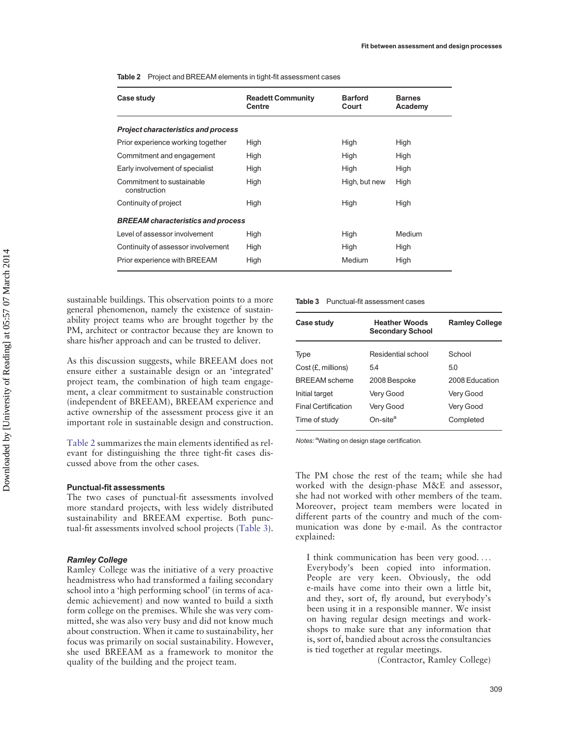<span id="page-11-0"></span>Table 2 Project and BREEAM elements in tight-fit assessment cases

| Case study                                 | <b>Readett Community</b><br>Centre | <b>Barford</b><br>Court | <b>Barnes</b><br>Academy |  |
|--------------------------------------------|------------------------------------|-------------------------|--------------------------|--|
| <b>Project characteristics and process</b> |                                    |                         |                          |  |
| Prior experience working together          | High                               | High                    | High                     |  |
| Commitment and engagement                  | High                               | High                    | High                     |  |
| Early involvement of specialist            | High                               | High                    | High                     |  |
| Commitment to sustainable<br>construction  | High                               | High, but new           | High                     |  |
| Continuity of project                      | High                               | High                    | High                     |  |
| <b>BREEAM characteristics and process</b>  |                                    |                         |                          |  |
| Level of assessor involvement              | High                               | High                    | Medium                   |  |
| Continuity of assessor involvement         | High                               | High                    | High                     |  |
| Prior experience with BREEAM               | High                               | Medium                  | High                     |  |

sustainable buildings. This observation points to a more general phenomenon, namely the existence of sustainability project teams who are brought together by the PM, architect or contractor because they are known to share his/her approach and can be trusted to deliver.

As this discussion suggests, while BREEAM does not ensure either a sustainable design or an 'integrated' project team, the combination of high team engagement, a clear commitment to sustainable construction (independent of BREEAM), BREEAM experience and active ownership of the assessment process give it an important role in sustainable design and construction.

Table 2 summarizes the main elements identified as relevant for distinguishing the three tight-fit cases discussed above from the other cases.

#### Punctual-fit assessments

The two cases of punctual-fit assessments involved more standard projects, with less widely distributed sustainability and BREEAM expertise. Both punctual-fit assessments involved school projects (Table 3).

#### Ramley College

Ramley College was the initiative of a very proactive headmistress who had transformed a failing secondary school into a 'high performing school' (in terms of academic achievement) and now wanted to build a sixth form college on the premises. While she was very committed, she was also very busy and did not know much about construction. When it came to sustainability, her focus was primarily on social sustainability. However, she used BREEAM as a framework to monitor the quality of the building and the project team.

Table 3 Punctual-fit assessment cases

| Case study                 | <b>Heather Woods</b><br><b>Secondary School</b> | <b>Ramley College</b> |
|----------------------------|-------------------------------------------------|-----------------------|
| Type                       | Residential school                              | School                |
| Cost (£, millions)         | 54                                              | 50                    |
| <b>BREEAM</b> scheme       | 2008 Bespoke                                    | 2008 Education        |
| Initial target             | Very Good                                       | Very Good             |
| <b>Final Certification</b> | Very Good                                       | Very Good             |
| Time of study              | On-site <sup>a</sup>                            | Completed             |

Notes: <sup>a</sup>Waiting on design stage certification.

The PM chose the rest of the team; while she had worked with the design-phase M&E and assessor, she had not worked with other members of the team. Moreover, project team members were located in different parts of the country and much of the communication was done by e-mail. As the contractor explained:

I think communication has been very good. ... Everybody's been copied into information. People are very keen. Obviously, the odd e-mails have come into their own a little bit, and they, sort of, fly around, but everybody's been using it in a responsible manner. We insist on having regular design meetings and workshops to make sure that any information that is, sort of, bandied about across the consultancies is tied together at regular meetings.

(Contractor, Ramley College)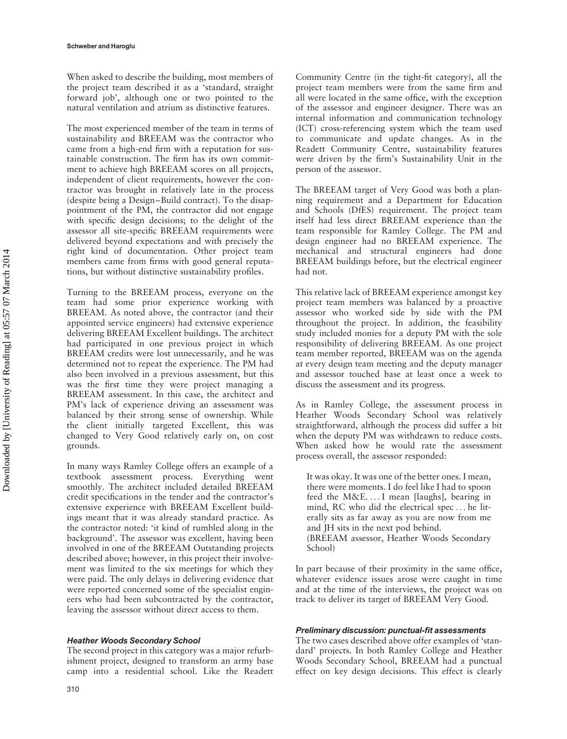When asked to describe the building, most members of the project team described it as a 'standard, straight forward job', although one or two pointed to the natural ventilation and atrium as distinctive features.

The most experienced member of the team in terms of sustainability and BREEAM was the contractor who came from a high-end firm with a reputation for sustainable construction. The firm has its own commitment to achieve high BREEAM scores on all projects, independent of client requirements, however the contractor was brought in relatively late in the process (despite being a Design –Build contract). To the disappointment of the PM, the contractor did not engage with specific design decisions; to the delight of the assessor all site-specific BREEAM requirements were delivered beyond expectations and with precisely the right kind of documentation. Other project team members came from firms with good general reputations, but without distinctive sustainability profiles.

Turning to the BREEAM process, everyone on the team had some prior experience working with BREEAM. As noted above, the contractor (and their appointed service engineers) had extensive experience delivering BREEAM Excellent buildings. The architect had participated in one previous project in which BREEAM credits were lost unnecessarily, and he was determined not to repeat the experience. The PM had also been involved in a previous assessment, but this was the first time they were project managing a BREEAM assessment. In this case, the architect and PM's lack of experience driving an assessment was balanced by their strong sense of ownership. While the client initially targeted Excellent, this was changed to Very Good relatively early on, on cost grounds.

In many ways Ramley College offers an example of a textbook assessment process. Everything went smoothly. The architect included detailed BREEAM credit specifications in the tender and the contractor's extensive experience with BREEAM Excellent buildings meant that it was already standard practice. As the contractor noted: 'it kind of rumbled along in the background'. The assessor was excellent, having been involved in one of the BREEAM Outstanding projects described above; however, in this project their involvement was limited to the six meetings for which they were paid. The only delays in delivering evidence that were reported concerned some of the specialist engineers who had been subcontracted by the contractor, leaving the assessor without direct access to them.

#### Heather Woods Secondary School

The second project in this category was a major refurbishment project, designed to transform an army base camp into a residential school. Like the Readett Community Centre (in the tight-fit category), all the project team members were from the same firm and all were located in the same office, with the exception of the assessor and engineer designer. There was an internal information and communication technology (ICT) cross-referencing system which the team used to communicate and update changes. As in the Readett Community Centre, sustainability features were driven by the firm's Sustainability Unit in the person of the assessor.

The BREEAM target of Very Good was both a planning requirement and a Department for Education and Schools (DfES) requirement. The project team itself had less direct BREEAM experience than the team responsible for Ramley College. The PM and design engineer had no BREEAM experience. The mechanical and structural engineers had done BREEAM buildings before, but the electrical engineer had not.

This relative lack of BREEAM experience amongst key project team members was balanced by a proactive assessor who worked side by side with the PM throughout the project. In addition, the feasibility study included monies for a deputy PM with the sole responsibility of delivering BREEAM. As one project team member reported, BREEAM was on the agenda at every design team meeting and the deputy manager and assessor touched base at least once a week to discuss the assessment and its progress.

As in Ramley College, the assessment process in Heather Woods Secondary School was relatively straightforward, although the process did suffer a bit when the deputy PM was withdrawn to reduce costs. When asked how he would rate the assessment process overall, the assessor responded:

It was okay. It was one of the better ones. I mean, there were moments. I do feel like I had to spoon feed the M&E. ... I mean [laughs], bearing in mind, RC who did the electrical spec ... he literally sits as far away as you are now from me and JH sits in the next pod behind. (BREEAM assessor, Heather Woods Secondary School)

In part because of their proximity in the same office, whatever evidence issues arose were caught in time and at the time of the interviews, the project was on track to deliver its target of BREEAM Very Good.

#### Preliminary discussion: punctual-fit assessments

The two cases described above offer examples of 'standard' projects. In both Ramley College and Heather Woods Secondary School, BREEAM had a punctual effect on key design decisions. This effect is clearly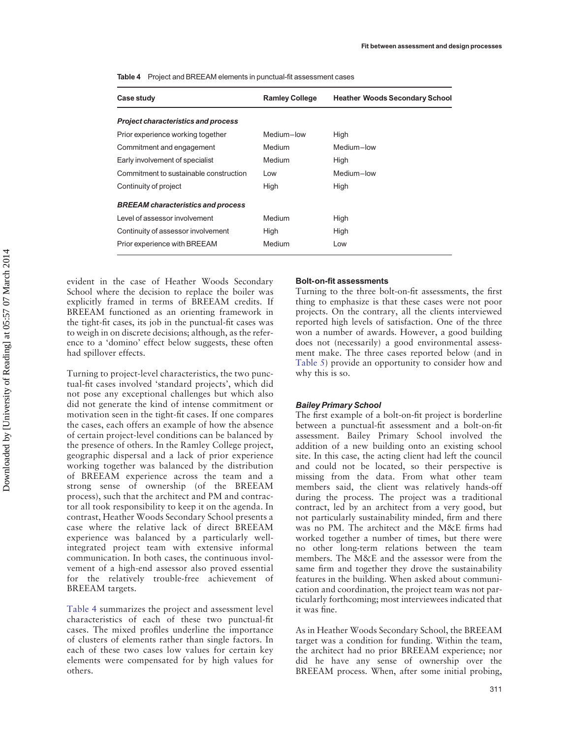| Case study                                 | <b>Ramley College</b> | <b>Heather Woods Secondary School</b> |
|--------------------------------------------|-----------------------|---------------------------------------|
| <b>Project characteristics and process</b> |                       |                                       |
| Prior experience working together          | Medium-low            | High                                  |
| Commitment and engagement                  | Medium                | Medium-low                            |
| Early involvement of specialist            | Medium                | High                                  |
| Commitment to sustainable construction     | Low                   | Medium-low                            |
| Continuity of project                      | High                  | High                                  |
| <b>BREEAM characteristics and process</b>  |                       |                                       |
| Level of assessor involvement              | Medium                | High                                  |
| Continuity of assessor involvement         | High                  | High                                  |
| Prior experience with BREEAM               | Medium                | Low                                   |

Table 4 Project and BREEAM elements in punctual-fit assessment cases

evident in the case of Heather Woods Secondary School where the decision to replace the boiler was explicitly framed in terms of BREEAM credits. If BREEAM functioned as an orienting framework in the tight-fit cases, its job in the punctual-fit cases was to weigh in on discrete decisions; although, as the reference to a 'domino' effect below suggests, these often had spillover effects.

Turning to project-level characteristics, the two punctual-fit cases involved 'standard projects', which did not pose any exceptional challenges but which also did not generate the kind of intense commitment or motivation seen in the tight-fit cases. If one compares the cases, each offers an example of how the absence of certain project-level conditions can be balanced by the presence of others. In the Ramley College project, geographic dispersal and a lack of prior experience working together was balanced by the distribution of BREEAM experience across the team and a strong sense of ownership (of the BREEAM process), such that the architect and PM and contractor all took responsibility to keep it on the agenda. In contrast, Heather Woods Secondary School presents a case where the relative lack of direct BREEAM experience was balanced by a particularly wellintegrated project team with extensive informal communication. In both cases, the continuous involvement of a high-end assessor also proved essential for the relatively trouble-free achievement of BREEAM targets.

Table 4 summarizes the project and assessment level characteristics of each of these two punctual-fit cases. The mixed profiles underline the importance of clusters of elements rather than single factors. In each of these two cases low values for certain key elements were compensated for by high values for others.

#### Bolt-on-fit assessments

Turning to the three bolt-on-fit assessments, the first thing to emphasize is that these cases were not poor projects. On the contrary, all the clients interviewed reported high levels of satisfaction. One of the three won a number of awards. However, a good building does not (necessarily) a good environmental assessment make. The three cases reported below (and in [Table 5](#page-14-0)) provide an opportunity to consider how and why this is so.

#### Bailey Primary School

The first example of a bolt-on-fit project is borderline between a punctual-fit assessment and a bolt-on-fit assessment. Bailey Primary School involved the addition of a new building onto an existing school site. In this case, the acting client had left the council and could not be located, so their perspective is missing from the data. From what other team members said, the client was relatively hands-off during the process. The project was a traditional contract, led by an architect from a very good, but not particularly sustainability minded, firm and there was no PM. The architect and the M&E firms had worked together a number of times, but there were no other long-term relations between the team members. The M&E and the assessor were from the same firm and together they drove the sustainability features in the building. When asked about communication and coordination, the project team was not particularly forthcoming; most interviewees indicated that it was fine.

As in Heather Woods Secondary School, the BREEAM target was a condition for funding. Within the team, the architect had no prior BREEAM experience; nor did he have any sense of ownership over the BREEAM process. When, after some initial probing,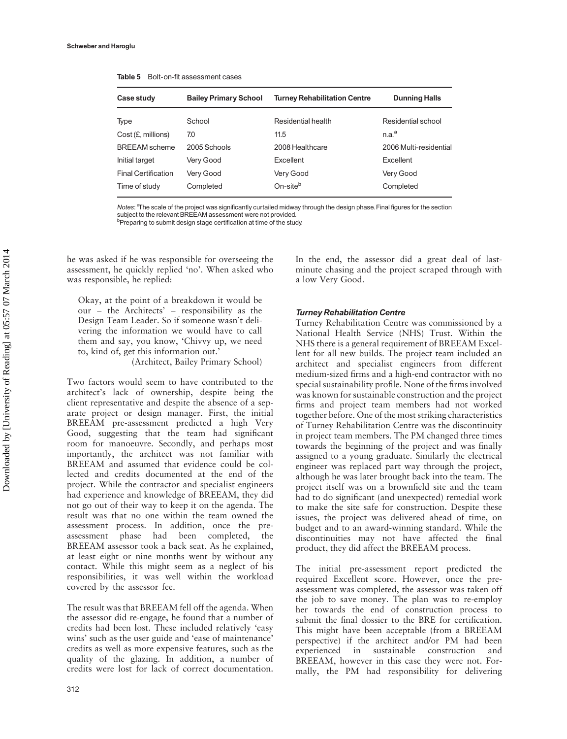| Case study                 | <b>Bailey Primary School</b> | <b>Turney Rehabilitation Centre</b> | <b>Dunning Halls</b>   |
|----------------------------|------------------------------|-------------------------------------|------------------------|
| Type                       | School                       | Residential health                  | Residential school     |
| Cost (£, millions)         | 7.0                          | 11.5                                | n.a. <sup>a</sup>      |
| <b>BREEAM</b> scheme       | 2005 Schools                 | 2008 Healthcare                     | 2006 Multi-residential |
| Initial target             | Very Good                    | Excellent                           | <b>Fxcellent</b>       |
| <b>Final Certification</b> | Very Good                    | Very Good                           | Very Good              |
| Time of study              | Completed                    | On-site <sup>b</sup>                | Completed              |

<span id="page-14-0"></span>

Notes: <sup>a</sup>The scale of the project was significantly curtailed midway through the design phase. Final figures for the section subject to the relevant BREEAM assessment were not provided.

<sup>b</sup>Preparing to submit design stage certification at time of the study.

he was asked if he was responsible for overseeing the assessment, he quickly replied 'no'. When asked who was responsible, he replied:

Okay, at the point of a breakdown it would be our – the Architects' – responsibility as the Design Team Leader. So if someone wasn't delivering the information we would have to call them and say, you know, 'Chivvy up, we need to, kind of, get this information out.'

(Architect, Bailey Primary School)

Two factors would seem to have contributed to the architect's lack of ownership, despite being the client representative and despite the absence of a separate project or design manager. First, the initial BREEAM pre-assessment predicted a high Very Good, suggesting that the team had significant room for manoeuvre. Secondly, and perhaps most importantly, the architect was not familiar with BREEAM and assumed that evidence could be collected and credits documented at the end of the project. While the contractor and specialist engineers had experience and knowledge of BREEAM, they did not go out of their way to keep it on the agenda. The result was that no one within the team owned the assessment process. In addition, once the preassessment phase had been completed, the BREEAM assessor took a back seat. As he explained, at least eight or nine months went by without any contact. While this might seem as a neglect of his responsibilities, it was well within the workload covered by the assessor fee.

The result was that BREEAM fell off the agenda. When the assessor did re-engage, he found that a number of credits had been lost. These included relatively 'easy wins' such as the user guide and 'ease of maintenance' credits as well as more expensive features, such as the quality of the glazing. In addition, a number of credits were lost for lack of correct documentation. In the end, the assessor did a great deal of lastminute chasing and the project scraped through with a low Very Good.

#### Turney Rehabilitation Centre

Turney Rehabilitation Centre was commissioned by a National Health Service (NHS) Trust. Within the NHS there is a general requirement of BREEAM Excellent for all new builds. The project team included an architect and specialist engineers from different medium-sized firms and a high-end contractor with no special sustainability profile. None of the firms involved was known for sustainable construction and the project firms and project team members had not worked together before. One of the most striking characteristics of Turney Rehabilitation Centre was the discontinuity in project team members. The PM changed three times towards the beginning of the project and was finally assigned to a young graduate. Similarly the electrical engineer was replaced part way through the project, although he was later brought back into the team. The project itself was on a brownfield site and the team had to do significant (and unexpected) remedial work to make the site safe for construction. Despite these issues, the project was delivered ahead of time, on budget and to an award-winning standard. While the discontinuities may not have affected the final product, they did affect the BREEAM process.

The initial pre-assessment report predicted the required Excellent score. However, once the preassessment was completed, the assessor was taken off the job to save money. The plan was to re-employ her towards the end of construction process to submit the final dossier to the BRE for certification. This might have been acceptable (from a BREEAM perspective) if the architect and/or PM had been experienced in sustainable construction and BREEAM, however in this case they were not. Formally, the PM had responsibility for delivering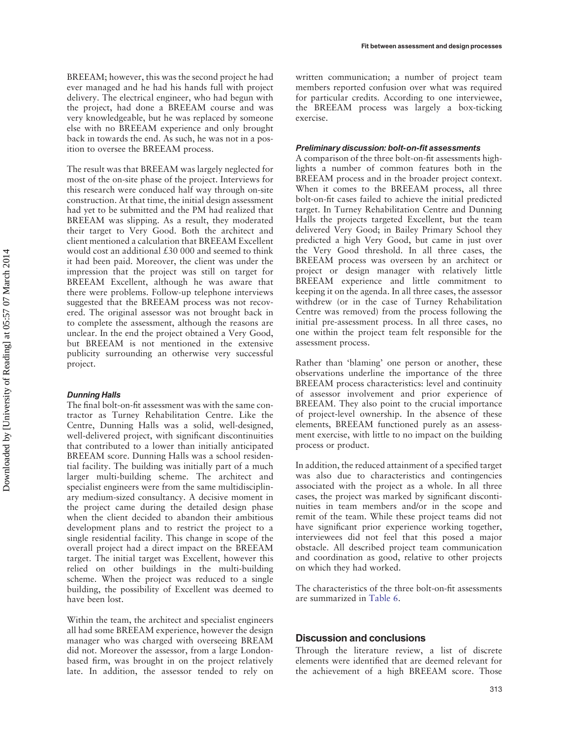BREEAM; however, this was the second project he had ever managed and he had his hands full with project delivery. The electrical engineer, who had begun with the project, had done a BREEAM course and was very knowledgeable, but he was replaced by someone else with no BREEAM experience and only brought back in towards the end. As such, he was not in a position to oversee the BREEAM process.

The result was that BREEAM was largely neglected for most of the on-site phase of the project. Interviews for this research were conduced half way through on-site construction. At that time, the initial design assessment had yet to be submitted and the PM had realized that BREEAM was slipping. As a result, they moderated their target to Very Good. Both the architect and client mentioned a calculation that BREEAM Excellent would cost an additional £30 000 and seemed to think it had been paid. Moreover, the client was under the impression that the project was still on target for BREEAM Excellent, although he was aware that there were problems. Follow-up telephone interviews suggested that the BREEAM process was not recovered. The original assessor was not brought back in to complete the assessment, although the reasons are unclear. In the end the project obtained a Very Good, but BREEAM is not mentioned in the extensive publicity surrounding an otherwise very successful project.

#### Dunning Halls

The final bolt-on-fit assessment was with the same contractor as Turney Rehabilitation Centre. Like the Centre, Dunning Halls was a solid, well-designed, well-delivered project, with significant discontinuities that contributed to a lower than initially anticipated BREEAM score. Dunning Halls was a school residential facility. The building was initially part of a much larger multi-building scheme. The architect and specialist engineers were from the same multidisciplinary medium-sized consultancy. A decisive moment in the project came during the detailed design phase when the client decided to abandon their ambitious development plans and to restrict the project to a single residential facility. This change in scope of the overall project had a direct impact on the BREEAM target. The initial target was Excellent, however this relied on other buildings in the multi-building scheme. When the project was reduced to a single building, the possibility of Excellent was deemed to have been lost.

Within the team, the architect and specialist engineers all had some BREEAM experience, however the design manager who was charged with overseeing BREAM did not. Moreover the assessor, from a large Londonbased firm, was brought in on the project relatively late. In addition, the assessor tended to rely on written communication; a number of project team members reported confusion over what was required for particular credits. According to one interviewee, the BREEAM process was largely a box-ticking exercise.

#### Preliminary discussion: bolt-on-fit assessments

A comparison of the three bolt-on-fit assessments highlights a number of common features both in the BREEAM process and in the broader project context. When it comes to the BREEAM process, all three bolt-on-fit cases failed to achieve the initial predicted target. In Turney Rehabilitation Centre and Dunning Halls the projects targeted Excellent, but the team delivered Very Good; in Bailey Primary School they predicted a high Very Good, but came in just over the Very Good threshold. In all three cases, the BREEAM process was overseen by an architect or project or design manager with relatively little BREEAM experience and little commitment to keeping it on the agenda. In all three cases, the assessor withdrew (or in the case of Turney Rehabilitation Centre was removed) from the process following the initial pre-assessment process. In all three cases, no one within the project team felt responsible for the assessment process.

Rather than 'blaming' one person or another, these observations underline the importance of the three BREEAM process characteristics: level and continuity of assessor involvement and prior experience of BREEAM. They also point to the crucial importance of project-level ownership. In the absence of these elements, BREEAM functioned purely as an assessment exercise, with little to no impact on the building process or product.

In addition, the reduced attainment of a specified target was also due to characteristics and contingencies associated with the project as a whole. In all three cases, the project was marked by significant discontinuities in team members and/or in the scope and remit of the team. While these project teams did not have significant prior experience working together, interviewees did not feel that this posed a major obstacle. All described project team communication and coordination as good, relative to other projects on which they had worked.

The characteristics of the three bolt-on-fit assessments are summarized in [Table 6](#page-16-0).

#### Discussion and conclusions

Through the literature review, a list of discrete elements were identified that are deemed relevant for the achievement of a high BREEAM score. Those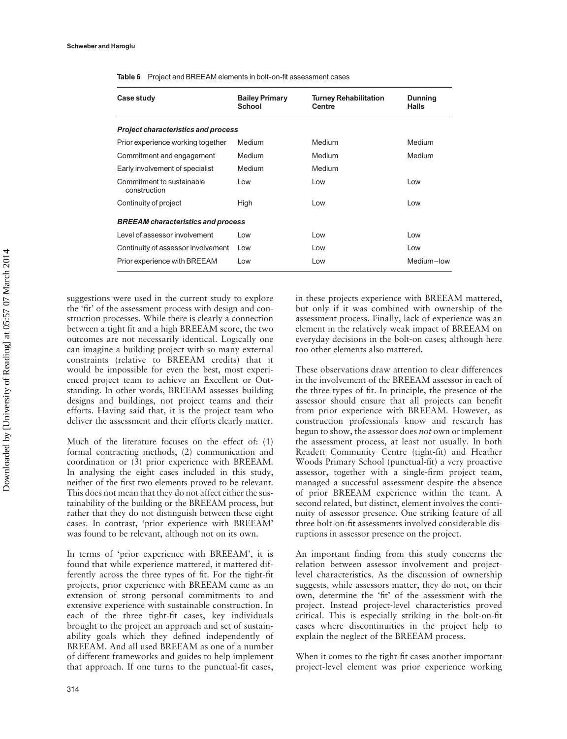| Case study                                 | <b>Bailey Primary</b><br>School | <b>Turney Rehabilitation</b><br>Centre | <b>Dunning</b><br><b>Halls</b> |  |
|--------------------------------------------|---------------------------------|----------------------------------------|--------------------------------|--|
| <b>Project characteristics and process</b> |                                 |                                        |                                |  |
| Prior experience working together          | Medium                          | Medium                                 | Medium                         |  |
| Commitment and engagement                  | Medium                          | Medium                                 | Medium                         |  |
| Early involvement of specialist            | Medium                          | Medium                                 |                                |  |
| Commitment to sustainable<br>construction  | Low                             | Low                                    | Low                            |  |
| Continuity of project                      | High                            | Low                                    | Low                            |  |
| <b>BREEAM characteristics and process</b>  |                                 |                                        |                                |  |
| Level of assessor involvement              | Low                             | Low                                    | Low                            |  |
| Continuity of assessor involvement         | Low                             | Low                                    | Low                            |  |
| Prior experience with BREEAM               | Low                             | Low                                    | Medium-low                     |  |

<span id="page-16-0"></span>Table 6 Project and BREEAM elements in bolt-on-fit assessment cases

suggestions were used in the current study to explore the 'fit' of the assessment process with design and construction processes. While there is clearly a connection between a tight fit and a high BREEAM score, the two outcomes are not necessarily identical. Logically one can imagine a building project with so many external constraints (relative to BREEAM credits) that it would be impossible for even the best, most experienced project team to achieve an Excellent or Outstanding. In other words, BREEAM assesses building designs and buildings, not project teams and their efforts. Having said that, it is the project team who deliver the assessment and their efforts clearly matter.

Much of the literature focuses on the effect of: (1) formal contracting methods, (2) communication and coordination or (3) prior experience with BREEAM. In analysing the eight cases included in this study, neither of the first two elements proved to be relevant. This does not mean that they do not affect either the sustainability of the building or the BREEAM process, but rather that they do not distinguish between these eight cases. In contrast, 'prior experience with BREEAM' was found to be relevant, although not on its own.

In terms of 'prior experience with BREEAM', it is found that while experience mattered, it mattered differently across the three types of fit. For the tight-fit projects, prior experience with BREEAM came as an extension of strong personal commitments to and extensive experience with sustainable construction. In each of the three tight-fit cases, key individuals brought to the project an approach and set of sustainability goals which they defined independently of BREEAM. And all used BREEAM as one of a number of different frameworks and guides to help implement that approach. If one turns to the punctual-fit cases,

in these projects experience with BREEAM mattered, but only if it was combined with ownership of the assessment process. Finally, lack of experience was an element in the relatively weak impact of BREEAM on everyday decisions in the bolt-on cases; although here too other elements also mattered.

These observations draw attention to clear differences in the involvement of the BREEAM assessor in each of the three types of fit. In principle, the presence of the assessor should ensure that all projects can benefit from prior experience with BREEAM. However, as construction professionals know and research has begun to show, the assessor does not own or implement the assessment process, at least not usually. In both Readett Community Centre (tight-fit) and Heather Woods Primary School (punctual-fit) a very proactive assessor, together with a single-firm project team, managed a successful assessment despite the absence of prior BREEAM experience within the team. A second related, but distinct, element involves the continuity of assessor presence. One striking feature of all three bolt-on-fit assessments involved considerable disruptions in assessor presence on the project.

An important finding from this study concerns the relation between assessor involvement and projectlevel characteristics. As the discussion of ownership suggests, while assessors matter, they do not, on their own, determine the 'fit' of the assessment with the project. Instead project-level characteristics proved critical. This is especially striking in the bolt-on-fit cases where discontinuities in the project help to explain the neglect of the BREEAM process.

When it comes to the tight-fit cases another important project-level element was prior experience working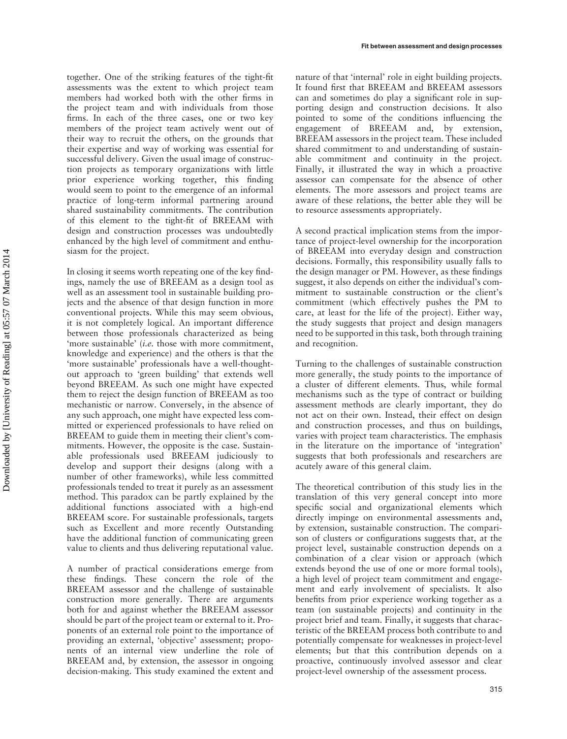together. One of the striking features of the tight-fit assessments was the extent to which project team members had worked both with the other firms in the project team and with individuals from those firms. In each of the three cases, one or two key members of the project team actively went out of their way to recruit the others, on the grounds that their expertise and way of working was essential for successful delivery. Given the usual image of construction projects as temporary organizations with little prior experience working together, this finding would seem to point to the emergence of an informal practice of long-term informal partnering around shared sustainability commitments. The contribution of this element to the tight-fit of BREEAM with design and construction processes was undoubtedly enhanced by the high level of commitment and enthusiasm for the project.

In closing it seems worth repeating one of the key findings, namely the use of BREEAM as a design tool as well as an assessment tool in sustainable building projects and the absence of that design function in more conventional projects. While this may seem obvious, it is not completely logical. An important difference between those professionals characterized as being 'more sustainable' (i.e. those with more commitment, knowledge and experience) and the others is that the 'more sustainable' professionals have a well-thoughtout approach to 'green building' that extends well beyond BREEAM. As such one might have expected them to reject the design function of BREEAM as too mechanistic or narrow. Conversely, in the absence of any such approach, one might have expected less committed or experienced professionals to have relied on BREEAM to guide them in meeting their client's commitments. However, the opposite is the case. Sustainable professionals used BREEAM judiciously to develop and support their designs (along with a number of other frameworks), while less committed professionals tended to treat it purely as an assessment method. This paradox can be partly explained by the additional functions associated with a high-end BREEAM score. For sustainable professionals, targets such as Excellent and more recently Outstanding have the additional function of communicating green value to clients and thus delivering reputational value.

A number of practical considerations emerge from these findings. These concern the role of the BREEAM assessor and the challenge of sustainable construction more generally. There are arguments both for and against whether the BREEAM assessor should be part of the project team or external to it. Proponents of an external role point to the importance of providing an external, 'objective' assessment; proponents of an internal view underline the role of BREEAM and, by extension, the assessor in ongoing decision-making. This study examined the extent and nature of that 'internal' role in eight building projects. It found first that BREEAM and BREEAM assessors can and sometimes do play a significant role in supporting design and construction decisions. It also pointed to some of the conditions influencing the engagement of BREEAM and, by extension, BREEAM assessors in the project team. These included shared commitment to and understanding of sustainable commitment and continuity in the project. Finally, it illustrated the way in which a proactive assessor can compensate for the absence of other elements. The more assessors and project teams are aware of these relations, the better able they will be to resource assessments appropriately.

A second practical implication stems from the importance of project-level ownership for the incorporation of BREEAM into everyday design and construction decisions. Formally, this responsibility usually falls to the design manager or PM. However, as these findings suggest, it also depends on either the individual's commitment to sustainable construction or the client's commitment (which effectively pushes the PM to care, at least for the life of the project). Either way, the study suggests that project and design managers need to be supported in this task, both through training and recognition.

Turning to the challenges of sustainable construction more generally, the study points to the importance of a cluster of different elements. Thus, while formal mechanisms such as the type of contract or building assessment methods are clearly important, they do not act on their own. Instead, their effect on design and construction processes, and thus on buildings, varies with project team characteristics. The emphasis in the literature on the importance of 'integration' suggests that both professionals and researchers are acutely aware of this general claim.

The theoretical contribution of this study lies in the translation of this very general concept into more specific social and organizational elements which directly impinge on environmental assessments and, by extension, sustainable construction. The comparison of clusters or configurations suggests that, at the project level, sustainable construction depends on a combination of a clear vision or approach (which extends beyond the use of one or more formal tools), a high level of project team commitment and engagement and early involvement of specialists. It also benefits from prior experience working together as a team (on sustainable projects) and continuity in the project brief and team. Finally, it suggests that characteristic of the BREEAM process both contribute to and potentially compensate for weaknesses in project-level elements; but that this contribution depends on a proactive, continuously involved assessor and clear project-level ownership of the assessment process.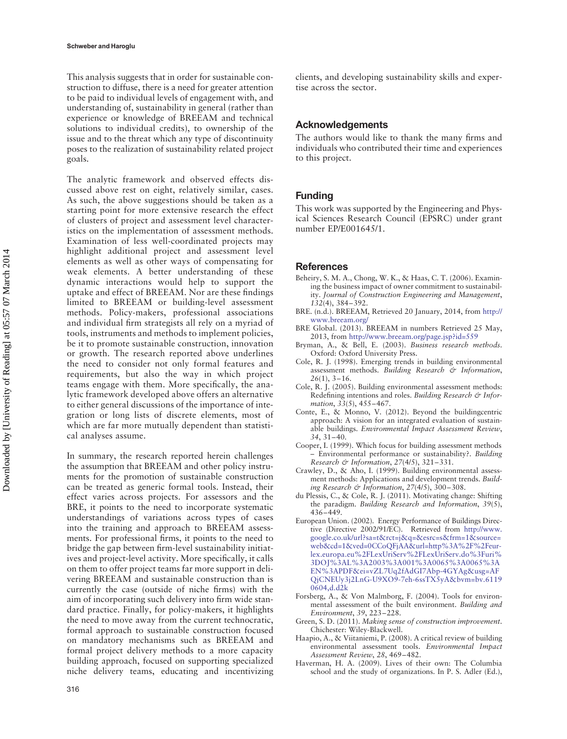<span id="page-18-0"></span>This analysis suggests that in order for sustainable construction to diffuse, there is a need for greater attention to be paid to individual levels of engagement with, and understanding of, sustainability in general (rather than experience or knowledge of BREEAM and technical solutions to individual credits), to ownership of the issue and to the threat which any type of discontinuity poses to the realization of sustainability related project goals.

The analytic framework and observed effects discussed above rest on eight, relatively similar, cases. As such, the above suggestions should be taken as a starting point for more extensive research the effect of clusters of project and assessment level characteristics on the implementation of assessment methods. Examination of less well-coordinated projects may highlight additional project and assessment level elements as well as other ways of compensating for weak elements. A better understanding of these dynamic interactions would help to support the uptake and effect of BREEAM. Nor are these findings limited to BREEAM or building-level assessment methods. Policy-makers, professional associations and individual firm strategists all rely on a myriad of tools, instruments and methods to implement policies, be it to promote sustainable construction, innovation or growth. The research reported above underlines the need to consider not only formal features and requirements, but also the way in which project teams engage with them. More specifically, the analytic framework developed above offers an alternative to either general discussions of the importance of integration or long lists of discrete elements, most of which are far more mutually dependent than statistical analyses assume.

In summary, the research reported herein challenges the assumption that BREEAM and other policy instruments for the promotion of sustainable construction can be treated as generic formal tools. Instead, their effect varies across projects. For assessors and the BRE, it points to the need to incorporate systematic understandings of variations across types of cases into the training and approach to BREEAM assessments. For professional firms, it points to the need to bridge the gap between firm-level sustainability initiatives and project-level activity. More specifically, it calls on them to offer project teams far more support in delivering BREEAM and sustainable construction than is currently the case (outside of niche firms) with the aim of incorporating such delivery into firm wide standard practice. Finally, for policy-makers, it highlights the need to move away from the current technocratic, formal approach to sustainable construction focused on mandatory mechanisms such as BREEAM and formal project delivery methods to a more capacity building approach, focused on supporting specialized niche delivery teams, educating and incentivizing clients, and developing sustainability skills and expertise across the sector.

#### Acknowledgements

The authors would like to thank the many firms and individuals who contributed their time and experiences to this project.

#### Funding

This work was supported by the Engineering and Physical Sciences Research Council (EPSRC) under grant number EP/E001645/1.

#### **References**

- Beheiry, S. M. A., Chong, W. K., & Haas, C. T. (2006). Examining the business impact of owner commitment to sustainability. Journal of Construction Engineering and Management, 132(4), 384–392.
- BRE. (n.d.). BREEAM, Retrieved 20 January, 2014, from [http://](http://www.google.co.uk/url?sa=t/&rct=j/&q=/&esrc=s/&frm=1/&source=web/&cd=1/&ved=0CCoQFjAA/&url=http%3A%2F%2Feur-lex.europa.eu%2FLexUriServ%2FLexUriServ.do%3Furi%3DOJ%3AL%3A2003%3A001%3A0065%3A0065%3AEN%3APDF/&ei=vZL7Uq2fAdGI7Abp-4GYAg/&usg=AFQjCNEUy3j2LnG-U9XO9-7eh-6ssTX5yA/&bvm=bv.61190604,d.d2k) [www.breeam.org/](http://www.google.co.uk/url?sa=t/&rct=j/&q=/&esrc=s/&frm=1/&source=web/&cd=1/&ved=0CCoQFjAA/&url=http%3A%2F%2Feur-lex.europa.eu%2FLexUriServ%2FLexUriServ.do%3Furi%3DOJ%3AL%3A2003%3A001%3A0065%3A0065%3AEN%3APDF/&ei=vZL7Uq2fAdGI7Abp-4GYAg/&usg=AFQjCNEUy3j2LnG-U9XO9-7eh-6ssTX5yA/&bvm=bv.61190604,d.d2k)
- BRE Global. (2013). BREEAM in numbers Retrieved 25 May, 2013, from [http://www.breeam.org/page.jsp?id=559](http://www.naturalstep.org/)
- Bryman, A., & Bell, E. (2003). Business research methods. Oxford: Oxford University Press.
- Cole, R. J. (1998). Emerging trends in building environmental assessment methods. Building Research & Information,  $26(1), 3 - 16.$
- Cole, R. J. (2005). Building environmental assessment methods: Redefining intentions and roles. Building Research & Information, 33(5), 455-467.
- Conte, E., & Monno, V. (2012). Beyond the buildingcentric approach: A vision for an integrated evaluation of sustainable buildings. Environmental Impact Assessment Review, 34, 31–40.
- Cooper, I. (1999). Which focus for building assessment methods – Environmental performance or sustainability?. Building Research & Information, 27(4/5), 321–331.
- Crawley, D., & Aho, I. (1999). Building environmental assessment methods: Applications and development trends. Building Research & Information,  $27(4/5)$ ,  $300-308$ .
- du Plessis, C., & Cole, R. J. (2011). Motivating change: Shifting the paradigm. Building Research and Information, 39(5), 436–449.
- European Union. (2002). Energy Performance of Buildings Directive (Directive 2002/91/EC). Retrieved from http://www. google.co.uk/url?sa=t&rct=j&q=&esrc=s&frm=1&source= web&cd=1&ved=0CCoQFjAA&url=http%3A%2F%2Feurlex.europa.eu%2FLexUriServ%2FLexUriServ.do%3Furi% 3DOJ%3AL%3A2003%3A001%3A0065%3A0065%3A EN%3APDF&ei=vZL7Uq2fAdGI7Abp-4GYAg&usg=AF QjCNEUy3j2LnG-U9XO9-7eh-6ssTX5yA&bvm=bv.6119 0604,d.d2k
- Forsberg, A., & Von Malmborg, F. (2004). Tools for environmental assessment of the built environment. Building and Environment, 39, 223–228.
- Green, S. D. (2011). Making sense of construction improvement. Chichester: Wiley-Blackwell.
- Haapio, A., & Viitaniemi, P. (2008). A critical review of building environmental assessment tools. Environmental Impact Assessment Review, 28, 469–482.
- Haverman, H. A. (2009). Lives of their own: The Columbia school and the study of organizations. In P. S. Adler (Ed.),